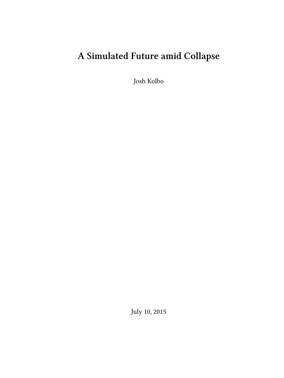# **A Simulated Future amid Collapse**

Josh Kolbo

July 10, 2015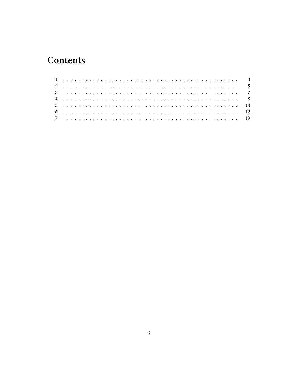## Contents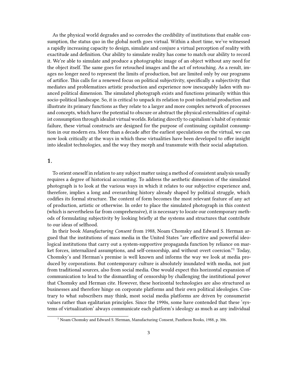As the physical world degrades and so corrodes the credibility of institutions that enable consumption, the status quo in the global north goes virtual. Within a short time, we've witnessed a rapidly increasing capacity to design, simulate and conjure a virtual perception of reality with exactitude and definition. Our ability to simulate reality has come to match our ability to record it. We're able to simulate and produce a photographic image of an object without any need for the object itself. The same goes for retouched images and the act of retouching. As a result, images no longer need to represent the limits of production, but are limited only by our programs of artifice. This calls for a renewed focus on political subjectivity, specifically a subjectivity that mediates and problematizes artistic production and experience now inescapably laden with nuanced political dimension. The simulated photograph exists and functions primarily within this socio-political landscape. So, it is critical to unpack its relation to post-industrial production and illustrate its primary functions as they relate to a larger and more complex network of processes and concepts, which have the potential to obscure or abstract the physical externalities of capitalist consumption through idealist virtual worlds. Relating directly to capitalism's habit of systemic failure, these virtual constructs are designed for the purpose of continuing capitalist consumption in our modern era. More than a decade after the earliest speculations on the virtual, we can now look critically at the ways in which these virtualities have been developed to offer insight into idealist technologies, and the way they morph and transmute with their social adaptation.

#### <span id="page-2-0"></span>**1.**

To orient oneself in relation to any subject matter using a method of consistent analysis usually requires a degree of historical accounting. To address the aesthetic dimension of the simulated photograph is to look at the various ways in which it relates to our subjective experience and, therefore, implies a long and overarching history already shaped by political struggle, which codifies its formal structure. The content of form becomes the most relevant feature of any act of production, artistic or otherwise. In order to place the simulated photograph in this context (which is nevertheless far from comprehensive), it is necessary to locate our contemporary methods of formulating subjectivity by looking briefly at the systems and structures that contribute to our ideas of selfhood.

In their book *Manufacturing Consent* from 1988, Noam Chomsky and Edward S. Herman argued that the institutions of mass media in the United States "are effective and powerful ideological institutions that carry out a system-supportive propaganda function by reliance on market forces, internalized assumptions, and self-censorship, and without overt coercion."<sup>1</sup> Today, Chomsky's and Herman's premise is well known and informs the way we look at media produced by corporations. But contemporary culture is absolutely inundated with media, not just from traditional sources, also from social media. One would expect this horizontal expansion of communication to lead to the dismantling of censorship by challenging the institutional power that Chomsky and Herman cite. However, these horizontal technologies are also structured as businesses and therefore hinge on corporate platforms and their own political ideologies. Contrary to what subscribers may think, most social media platforms are driven by consumerist values rather than egalitarian principles. Since the 1990s, some have contended that these 'systems of virtualization' always communicate each platform's ideology as much as any individual

<sup>&</sup>lt;sup>1</sup> Noam Chomsky and Edward S. Herman, Manufacturing Consent, Pantheon Books, 1988, p. 306.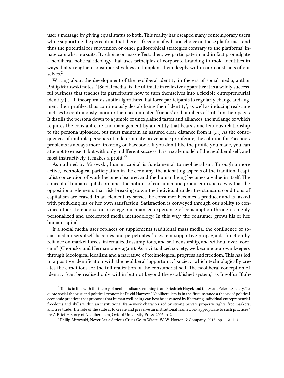user's message by giving equal status to both. This reality has escaped many contemporary users while supporting the perception that there is freedom of will and choice on these platforms – and thus the potential for subversion or other philosophical strategies contrary to the platforms' innate capitalist pursuits. By choice or mass effect, then, we participate in and in fact promulgate a neoliberal political ideology that uses principles of corporate branding to mold identities in ways that strengthen consumerist values and implant them deeply within our constructs of our selves.<sup>2</sup>

Writing about the development of the neoliberal identity in the era of social media, author Philip Mirowski notes, "[Social media] is the ultimate in reflexive apparatus: it is a wildly successful business that teaches its participants how to turn themselves into a flexible entrepreneurial identity [...] It incorporates subtle algorithms that force participants to regularly change and augment their profiles, thus continuously destabilizing their 'identity', as well as inducing real-time metrics to continuously monitor their accumulated 'friends' and numbers of 'hits' on their pages. It distills the persona down to a jumble of unexplained tastes and alliances, the mélange of which requires the constant care and management by an entity that bears some tenuous relationship to the persona uploaded, but must maintain an assured clear distance from it […] As the consequences of multiple personas of indeterminate provenance proliferate, the solution for Facebook problems is always more tinkering on Facebook. If you don't like the profile you made, you can attempt to erase it, but with only indifferent success. It is a scale model of the neoliberal self, and most instructively, it makes a profit."<sup>3</sup>

As outlined by Mirowski, human capital is fundamental to neoliberalism. Through a more active, technological participation in the economy, the alienating aspects of the traditional capitalist conception of work become obscured and the human being becomes a value in itself. The concept of human capital combines the notions of consumer and producer in such a way that the oppositional elements that risk breaking down the individual under the standard conditions of capitalism are erased. In an elementary sense, the consumer becomes a producer and is tasked with producing his or her own satisfaction. Satisfaction is conveyed through our ability to convince others to endorse or privilege our nuanced experience of consumption through a highly personalized and accelerated media methodology. In this way, the consumer grows his or her human capital.

If a social media user replaces or supplements traditional mass media, the confluence of social media users itself becomes and perpetuates "a system-supportive propaganda function by reliance on market forces, internalized assumptions, and self-censorship, and without overt coercion" (Chomsky and Herman once again). As a virtualized society, we become our own keepers through ideological idealism and a narrative of technological progress and freedom. This has led to a positive identification with the neoliberal 'opportunity' society, which technologically creates the conditions for the full realization of the consumerist self. The neoliberal conception of identity "can be realised only within but not beyond the established system," as Ingolfur Bluh-

 $2$  This is in line with the theory of neoliberalism stemming from Friedrich Hayek and the Mont Pelerin Society. To quote social theorist and political economist David Harvey: "Neoliberalism is in the first instance a theory of political economic practices that proposes that human well-being can best be advanced by liberating individual entrepreneurial freedoms and skills within an institutional framework characterized by strong private property rights, free markets, and free trade. The role of the state is to create and preserve an institutional framework appropriate to such practices." In: A Brief History of Neoliberalism, Oxford University Press, 2005, p. 2.

<sup>3</sup> Philip Mirowski, Never Let a Serious Crisis Go to Waste, W. W. Norton & Company, 2013, pp. 112–113.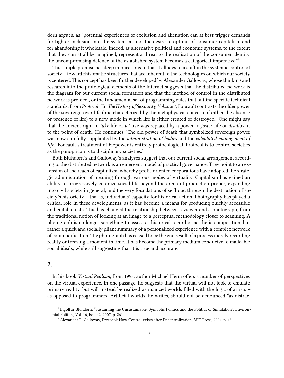dorn argues, as "potential experiences of exclusion and alienation can at best trigger demands for tighter inclusion into the system but not the desire to opt out of consumer capitalism and for abandoning it wholesale. Indeed, as alternative political and economic systems, to the extent that they can at all be imagined, represent a threat to the realisation of the consumer identity, the uncompromising defence of the established system becomes a categorical imperative."<sup>4</sup>

This simple premise has deep implications in that it alludes to a shift in the systemic control of society – toward rhizomatic structures that are inherent to the technologies on which our society is centered. This concept has been further developed by Alexander Galloway, whose thinking and research into the protological elements of the Internet suggests that the distributed network is the diagram for our current social formation and that the method of control in the distributed network is protocol, or the fundamental set of programming rules that outline specific technical standards. From *Protocol*: "In *The History of Sexuality, Volume 1*, Foucault contrasts the older power of the sovereign over life (one characterized by the metaphysical concern of either the absence or presence of life) to a new mode in which life is either created or destroyed: 'One might say that the ancient right to *take* life or *let* live was replaced by a power to *foster* life or *disallow* it to the point of death.' He continues: 'The old power of death that symbolized sovereign power was now carefully supplanted by the *administration of bodies* and the *calculated management of life.*' Foucault's treatment of biopower is entirely protocological. Protocol is to control societies as the panopticon is to disciplinary societies."<sup>5</sup>

Both Bluhdorn's and Galloway's analyses suggest that our current social arrangement according to the distributed network is an emergent model of practical governance. They point to an extension of the reach of capitalism, whereby profit-oriented corporations have adopted the strategic administration of meaning through various modes of virtuality. Capitalism has gained an ability to progressively colonize social life beyond the arena of production proper, expanding into civil society in general, and the very foundations of selfhood through the destruction of society's historicity – that is, individuals' capacity for historical action. Photography has played a critical role in these developments, as it has become a means for producing quickly accessible and editable data. This has changed the relationship between a viewer and a photograph, from the traditional notion of looking at an image to a perceptual methodology closer to scanning. A photograph is no longer something to assess as historical record or aesthetic composition, but rather a quick and socially pliant summary of a personalized experience with a complex network of commodification. The photograph has ceased to be the end result of a process merely recording reality or freezing a moment in time. It has become the primary medium conducive to malleable social ideals, while still suggesting that it is true and accurate.

#### <span id="page-4-0"></span>**2.**

In his book *Virtual Realism*, from 1998, author Michael Heim offers a number of perspectives on the virtual experience. In one passage, he suggests that the virtual will not look to emulate primary reality, but will instead be realized as nuanced worlds filled with the logic of artists – as opposed to programmers. Artificial worlds, he writes, should not be denounced "as distrac-

<sup>4</sup> Ingolfur Bluhdorn, "Sustaining the Unsustainable: Symbolic Politics and the Politics of Simulation", Environmental Politics, Vol. 16, Issue 2, 2007, p. 261.

<sup>5</sup> Alexander R. Galloway, Protocol: How Control exists after Decentralization, MIT Press, 2004, p. 13.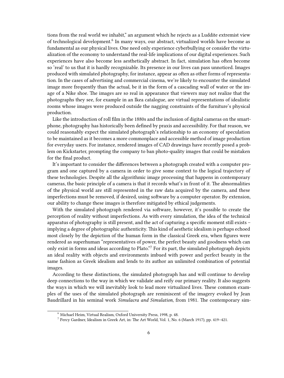tions from the real world we inhabit," an argument which he rejects as a Luddite extremist view of technological development.<sup>6</sup> In many ways, our abstract, virtualized worlds have become as fundamental as our physical lives. One need only experience cyberbullying or consider the virtualization of the economy to understand the real-life implications of our digital experiences. Such experiences have also become less aesthetically abstract. In fact, simulation has often become so 'real' to us that it is hardly recognizable. Its presence in our lives can pass unnoticed. Images produced with simulated photography, for instance, appear as often as other forms of representation. In the cases of advertising and commercial cinema, we're likely to encounter the simulated image more frequently than the actual, be it in the form of a cascading wall of water or the image of a Nike shoe. The images are so real in appearance that viewers may not realize that the photographs they see, for example in an Ikea catalogue, are virtual representations of idealistic rooms whose images were produced outside the nagging constraints of the furniture's physical production.

Like the introduction of roll film in the 1880s and the inclusion of digital cameras on the smartphone, photography has historically been defined by praxis and accessibility. For that reason, we could reasonably expect the simulated photograph's relationship to an economy of speculation to be maintained as it becomes a more commonplace and accessible method of image production for everyday users. For instance, rendered images of CAD drawings have recently posed a problem on Kickstarter, prompting the company to ban photo-quality images that could be mistaken for the final product.

It's important to consider the differences between a photograph created with a computer program and one captured by a camera in order to give some context to the logical trajectory of these technologies. Despite all the algorithmic image processing that happens in contemporary cameras, the basic principle of a camera is that it records what's in front of it. The abnormalities of the physical world are still represented in the raw data acquired by the camera, and these imperfections must be removed, if desired, using software by a computer operator. By extension, our ability to change these images is therefore mitigated by ethical judgements.

With the simulated photograph rendered via software, however, it's possible to create the perception of reality without imperfections. As with every simulation, the idea of the technical apparatus of photography is still present, and the act of capturing a specific moment still exists – implying a degree of photographic authenticity. This kind of aesthetic idealism is perhaps echoed most closely by the depiction of the human form in the classical Greek era, when figures were rendered as superhuman "representatives of power, the perfect beauty and goodness which can only exist in forms and ideas according to Plato."<sup>7</sup> For its part, the simulated photograph depicts an ideal reality with objects and environments imbued with power and perfect beauty in the same fashion as Greek idealism and lends to its author an unlimited combination of potential images.

According to these distinctions, the simulated photograph has and will continue to develop deep connections to the way in which we validate and reify our primary reality. It also suggests the ways in which we will inevitably look to lead more virtualized lives. These common examples of the uses of the simulated photograph are reminiscent of the imagery evoked by Jean Baudrillard in his seminal work *Simulacra and Simulation*, from 1981. The contemporary sim-

<sup>6</sup> Michael Heim, Virtual Realism, Oxford University Press, 1998, p. 48.

<sup>7</sup> Percy Gardner, Idealism in Greek Art, in: The Art World, Vol. 1, No. 6 (March 1917), pp. 419–421.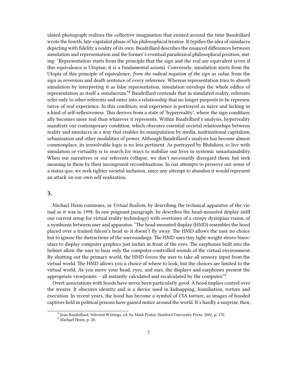ulated photograph realizes the collective imagination that existed around the time Baudrillard wrote the fourth, late-capitalist phase of his philosophical treatise. It typifies the idea of simulacra depicting with fidelity a reality of its own. Baudrillard describes the nuanced differences between simulation and representation and the former's eventual paradoxical philosophical position, stating: "Representation starts from the principle that the sign and the real are equivalent (even if this equivalence is Utopian, it is a fundamental axiom). Conversely, simulation starts from the Utopia of this principle of equivalence, *from the radical negation of the sign as value*, from the sign as reversion and death sentence of every reference. Whereas representation tries to absorb simulation by interpreting it as false representation, simulation envelops the whole edifice of representation as itself a simulacrum."<sup>8</sup> Baudrillard contends that in simulated reality, referents refer only to other referents and enter into a relationship that no longer purports to be representative of real experience. In this condition, real experience is portrayed as naive and lacking in a kind of self-reflexiveness. This derives from a state of 'hyperreality', where the sign conditionally becomes more real than whatever it represents. Within Baudrillard's analysis, hyperreality manifests our contemporary condition, which obscures essential societal relationships between reality and simulacra in a way that enables its manipulation by media, multinational capitalism, urbanization and other modalities of power. Although Baudrillard's analysis has become almost commonplace, its irresolvable logic is no less pertinent. As portrayed by Bluhdorn, to live with simulation or virtuality is to search for ways to stabilize our lives in systemic unsustainability. When our narratives or our referents collapse, we don't necessarily disregard them, but seek meaning in them by their incongruent recombinations. In our attempts to preserve our sense of a status quo, we seek tighter societal inclusion, since any attempt to abandon it would represent an attack on our own self-realization.

#### <span id="page-6-0"></span>**3.**

Michael Heim continues, in *Virtual Realism*, by describing the technical apparatus of the virtual as it was in 1998. In one poignant paragraph, he describes the head-mounted display (still our current setup for virtual reality technology) with overtones of a creepy dystopian vision, of a symbiosis between user and apparatus. "The head-mounted display (HMD) resembles the hood placed over a trained falcon's head so it doesn't fly away. The HMD allows the user no choice but to ignore the distractions of the surroundings. The HMD uses tiny light-weight stereo binoculars to display computer graphics just inches in front of the eyes. The earphones built into the helmet allow the user to hear only the computer-controlled sounds of the virtual environment. By shutting out the primary world, the HMD forces the user to take all sensory input from the virtual world. The HMD allows you a choice of where to look, but the choices are limited to the virtual world. As you move your head, eyes, and ears, the displays and earphones present the appropriate viewpoints – all instantly calculated and recalculated by the computer.<sup>"9</sup>

Overt associations with hoods have never been particularly good. A hood implies control over the wearer. It obscures identity and is a device used in kidnapping, humiliation, torture and execution. In recent years, the hood has become a symbol of CIA torture, as images of hooded captives held in political prisons have gained notice around the world. It's hardly a surprise, then,

<sup>8</sup> Jean Baudrillard, Selected Writings, ed. by Mark Poster, Stanford University Press, 2002, p. 170.

<sup>9</sup> Michael Heim, p. 20.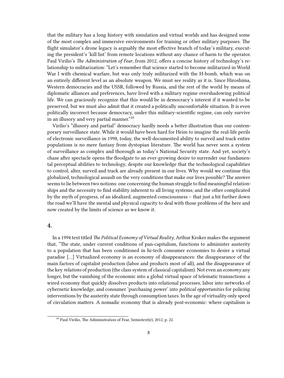that the military has a long history with simulation and virtual worlds and has designed some of the most complex and immersive environments for training or other military purposes. The flight simulator's drone legacy is arguably the most effective branch of today's military, executing the president's 'kill list' from remote locations without any chance of harm to the operator. Paul Virilio's *The Administration of Fear*, from 2012, offers a concise history of technology's relationship to militarization: "Let's remember that science started to become militarized in World War I with chemical warfare, but was only truly militarized with the H-bomb, which was on an entirely different level as an absolute weapon. We must see reality as it is. Since Hiroshima, Western democracies and the USSR, followed by Russia, and the rest of the world by means of diplomatic alliances and preferences, have lived with a military regime overshadowing political life. We can graciously recognize that this would be in democracy's interest if it wanted to be preserved, but we must also admit that it created a politically uncomfortable situation. It is even politically incorrect because democracy, under this military-scientific regime, can only survive in an illusory and very partial manner.<sup>"10</sup>

Virilio's "illusory and partial" democracy hardly needs a better illustration than our contemporary surveillance state. While it would have been hard for Heim to imagine the real-life perils of electronic surveillance in 1998, today, the well-documented ability to surveil and track entire populations is no mere fantasy from dystopian literature. The world has never seen a system of surveillance as complex and thorough as today's National Security state. And yet, society's chase after spectacle opens the floodgate to an ever-growing desire to surrender our fundamental perceptual abilities to technology, despite our knowledge that the technological capabilities to control, alter, surveil and track are already present in our lives. Why would we continue this globalized, technological assault on the very conditions that make our lives possible? The answer seems to lie between two notions: one concerning the human struggle to find meaningful relationships and the necessity to find stability inherent to all living systems; and the other complicated by the myth of progress, of an idealized, augmented consciousness – that just a bit further down the road we'll have the mental and physical capacity to deal with those problems of the here and now created by the limits of science as we know it.

#### <span id="page-7-0"></span>**4.**

In a 1994 text titled *The Political Economy of Virtual Reality*, Arthur Kroker makes the argument that, "The state, under current conditions of pan-capitalism, functions to administer austerity to a population that has been conditioned in hi-tech consumer economies to desire a virtual paradise […] Virtualized economy is an economy of disappearances: the disappearance of the main factors of capitalist production (labor and products most of all), and the disappearance of the key *relations* of production (the class system of classical capitalism). Not even an *economy* any longer, but the vanishing of the economic into a global virtual space of telematic transactions: a wired economy that quickly dissolves products into relational processes, labor into networks of cybernetic knowledge, and consumer 'purchasing power' into *political opportunities* for policing interventions by the austerity state through consumption taxes. In the age of virtuality only speed of circulation matters. A nomadic economy that is already post-economic: where capitalism is

<sup>&</sup>lt;sup>10</sup> Paul Virilio, The Administration of Fear, Semiotext(e), 2012, p. 22.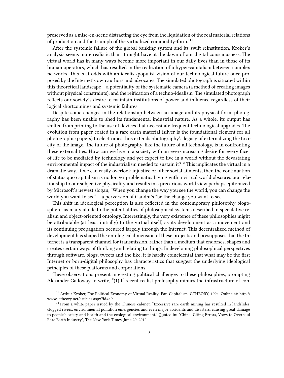preserved as a mise-en-scene distracting the eye from the liquidation of the real material relations of production and the triumph of the virtualized commodity-form."<sup>11</sup>

After the systemic failure of the global banking system and its swift reinstitution, Kroker's analysis seems more realistic than it might have at the dawn of our digital consciousness. The virtual world has in many ways become more important in our daily lives than in those of its human operators, which has resulted in the realization of a hyper-capitalism between complex networks. This is at odds with an idealist/populist vision of our technological future once proposed by the Internet's own authors and advocates. The simulated photograph is situated within this theoretical landscape – a potentiality of the systematic camera (a method of creating images without physical constraints), and the reification of a techno-idealism. The simulated photograph reflects our society's desire to maintain institutions of power and influence regardless of their logical shortcomings and systemic failures.

Despite some changes in the relationship between an image and its physical form, photography has been unable to shed its fundamental industrial nature. As a whole, its output has shifted from printing to the use of devices that necessitate frequent technological upgrades. The evolution from paper coated in a rare earth material (silver is the foundational element for all photographic papers) to electronics thus extends photography's legacy of externalizing the toxicity of the image. The future of photography, like the future of all technology, is in confronting these externalities. How can we live in a society with an ever-increasing desire for every facet of life to be mediated by technology and yet expect to live in a world without the devastating environmental impact of the industrialism needed to sustain it?<sup>12</sup> This implicates the virtual in a dramatic way. If we can easily overlook injustice or other social ailments, then the continuation of status quo capitalism is no longer problematic. Living with a virtual world obscures our relationship to our subjective physicality and results in a precarious world view perhaps epitomized by Microsoft's newest slogan, "When you change the way you see the world, you can change the world you want to see" – a perversion of Gandhi's "be the change you want to see.

This shift in ideological perception is also reflected in the contemporary philosophy blogosphere, as many allude to the potentialities of philosophical systems described in speculative realism and object-oriented ontology. Interestingly, the very existence of these philosophies might be attributable (at least initially) to the virtual itself, as its development as a movement and its continuing propagation occurred largely through the Internet. This decentralized method of development has shaped the ontological dimension of these projects and presupposes that the Internet is a transparent channel for transmission, rather than a medium that endorses, shapes and creates certain ways of thinking and relating to things. In developing philosophical perspectives through software, blogs, tweets and the like, it is hardly coincidental that what may be the first Internet or born-digital philosophy has characteristics that suggest the underlying ideological principles of these platforms and corporations.

These observations present interesting political challenges to these philosophies, prompting Alexander Galloway to write, "(1) If recent realist philosophy mimics the infrastructure of con-

<sup>&</sup>lt;sup>11</sup> Arthur Kroker, The Political Economy of Virtual Reality: Pan-Capitalism, CTHEORY, 1994. Online at: http:// www. ctheory.net/articles.aspx?id=49.

 $12$  From a white paper issued by the Chinese cabinet: "Excessive rare earth mining has resulted in landslides, clogged rivers, environmental pollution emergencies and even major accidents and disasters, causing great damage to people's safety and health and the ecological environment." Quoted in: "China, Citing Errors, Vows to Overhaul Rare Earth Industry", The New York Times, June 20, 2012.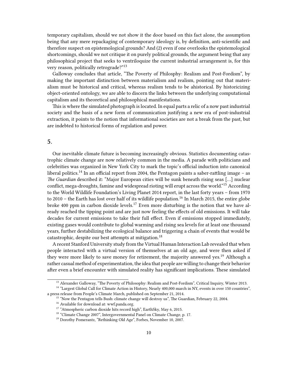temporary capitalism, should we not show it the door based on this fact alone, the assumption being that any mere repackaging of contemporary ideology is, by definition, anti-scientific and therefore suspect on epistemological grounds? And (2) even if one overlooks the epistemological shortcomings, should we not critique it on purely political grounds, the argument being that any philosophical project that seeks to ventriloquize the current industrial arrangement is, for this very reason, politically retrograde?"<sup>13</sup>

Galloway concludes that article, "The Poverty of Philosphy: Realism and Post-Fordism", by making the important distinction between materialism and realism, pointing out that materialism must be historical and critical, whereas realism tends to be ahistorical. By historicizing object-oriented ontology, we are able to discern the links between the underlying computational capitalism and its theoretical and philosophical manifestations.

This is where the simulated photograph is located. In equal parts a relic of a now past industrial society and the basis of a new form of communication justifying a new era of post-industrial extraction, it points to the notion that informational societies are not a break from the past, but are indebted to historical forms of regulation and power.

#### <span id="page-9-0"></span>**5.**

Our inevitable climate future is becoming increasingly obvious. Statistics documenting catastrophic climate change are now relatively common in the media. A parade with politicians and celebrities was organized in New York City to mark the topic's official induction into canonical liberal politics.<sup>14</sup> In an official report from 2004, the Pentagon paints a saber-rattling image – as *The Guardian* described it: "Major European cities will be sunk beneath rising seas […] nuclear conflict, mega-droughts, famine and widespread rioting will erupt across the world."<sup>15</sup> According to the World Wildlife Foundation's Living Planet 2014 report, in the last forty years – from 1970 to 2010 – the Earth has lost over half of its wildlife population.<sup>16</sup> In March 2015, the entire globe broke 400 ppm in carbon dioxide levels.<sup>17</sup> Even more disturbing is the notion that we have already reached the tipping point and are just now feeling the effects of old emissions. It will take decades for current emissions to take their full effect. Even if emissions stopped immediately, existing gases would contribute to global warming and rising sea levels for at least one thousand years, further destabilizing the ecological balance and triggering a chain of events that would be catastrophic, despite our best attempts at mitigation.<sup>18</sup>

A recent Stanford University study from the Virtual Human Interaction Lab revealed that when people interacted with a virtual version of themselves at an old age, and were then asked if they were more likely to save money for retirement, the majority answered yes.<sup>19</sup> Although a rather casual method of experimentation, the idea that people are willing to change their behavior after even a brief encounter with simulated reality has significant implications. These simulated

<sup>&</sup>lt;sup>13</sup> Alexander Galloway, "The Poverty of Philosophy: Realism and Post-Fordism", Critical Inquiry, Winter 2013.

<sup>&</sup>lt;sup>14</sup> "Largest Global Call for Climate Action in History, Nearly 400,000 march in NY, events in over 150 countries", a press release from People's Climate March, published on September 21, 2014.

<sup>&</sup>lt;sup>15</sup> "Now the Pentagon tells Bush: climate change will destroy us", The Guardian, February 22, 2004.

 $^{16}$  Available for download at: [wwf.panda.org.](http://wwf.panda.org/about_our_earth/all_publications/living_planet_report/)

<sup>&</sup>lt;sup>17</sup> "Atmospheric carbon dioxide hits record high", EarthSky, May 6, 2015.

<sup>&</sup>lt;sup>18</sup> "Climate Change 2007", Intergovernmental Panel on Climate Change, p. 17.

<sup>&</sup>lt;sup>19</sup> Dorothy Pomerantz, "Rethinking Old Age", Forbes, November 10, 2007.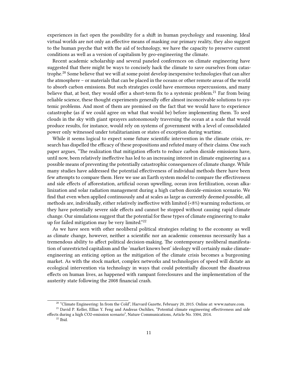experiences in fact open the possibility for a shift in human psychology and reasoning. Ideal virtual worlds are not only an effective means of masking our primary reality, they also suggest to the human psyche that with the aid of technology, we have the capacity to preserve current conditions as well as a version of capitalism by geo-engineering the climate.

Recent academic scholarship and several paneled conferences on climate engineering have suggested that there might be ways to concisely hack the climate to save ourselves from catastrophe.<sup>20</sup> Some believe that we will at some point develop inexpensive technologies that can alter the atmosphere – or materials that can be placed in the oceans or other remote areas of the world to absorb carbon emissions. But such strategies could have enormous repercussions, and many believe that, at best, they would offer a short-term fix to a systemic problem.<sup>21</sup> Far from being reliable science, these thought experiments generally offer almost inconceivable solutions to systemic problems. And most of them are premised on the fact that we would have to experience catastrophe (as if we could agree on what that would be) before implementing them. To seed clouds in the sky with giant sprayers autonomously traversing the ocean at a scale that would produce results, for instance, would rely on systems of government with a level of consolidated power only witnessed under totalitarianism or states of exception during wartime.

While it seems logical to expect some future scientific intervention in the climate crisis, research has dispelled the efficacy of these propositions and refuted many of their claims. One such paper argues, "The realization that mitigation efforts to reduce carbon dioxide emissions have, until now, been relatively ineffective has led to an increasing interest in climate engineering as a possible means of preventing the potentially catastrophic consequences of climate change. While many studies have addressed the potential effectiveness of individual methods there have been few attempts to compare them. Here we use an Earth system model to compare the effectiveness and side effects of afforestation, artificial ocean upwelling, ocean iron fertilization, ocean alkalinization and solar radiation management during a high carbon dioxide-emission scenario. We find that even when applied continuously and at scales as large as currently deemed possible, all methods are, individually, either relatively ineffective with limited (<8%) warming reductions, or they have potentially severe side effects and cannot be stopped without causing rapid climate change. Our simulations suggest that the potential for these types of climate engineering to make up for failed mitigation may be very limited."<sup>22</sup>

As we have seen with other neoliberal political strategies relating to the economy as well as climate change, however, neither a scientific nor an academic consensus necessarily has a tremendous ability to affect political decision-making. The contemporary neoliberal manifestation of unrestricted capitalism and the 'market knows best' ideology will certainly make climateengineering an enticing option as the mitigation of the climate crisis becomes a burgeoning market. As with the stock market, complex networks and technologies of speed will dictate an ecological intervention via technology in ways that could potentially discount the disastrous effects on human lives, as happened with rampant foreclosures and the implementation of the austerity state following the 2008 financial crash.

<sup>&</sup>lt;sup>20</sup> "Climate Engineering: In from the Cold", Harvard Gazette, February 20, 2015. Online at: [www.nature.com.](http://www.nature.com/ncomms/2014/140225/ncomms4204/full/ncomms4304.html)

<sup>&</sup>lt;sup>21</sup> David P. Keller, Ellias Y. Feng and Andreas Oschlies, "Potential climate engineering effectiveness and side effects during a high CO2-emission scenario", Nature Communications, Article No. 3304, 2014.

 $^{22}$  Ibid.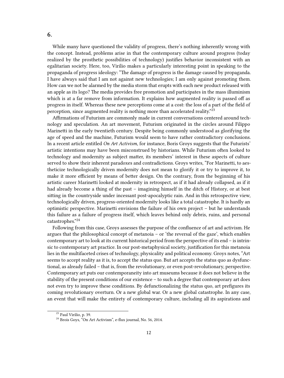While many have questioned the validity of progress, there's nothing inherently wrong with the concept. Instead, problems arise in that the contemporary culture around progress (today realized by the prosthetic possibilities of technology) justifies behavior inconsistent with an egalitarian society. Here, too, Virilio makes a particularly interesting point in speaking to the propaganda of progress ideology: "The damage of progress is the damage caused by propaganda. I have always said that I am not against new technologies; I am only against promoting them. How can we not be alarmed by the media storm that erupts with each new product released with an apple as its logo? The media provides free promotion and participates in the mass illuminism which is at a far remove from information. It explains how augmented reality is passed off as progress in itself. Whereas these new perceptions come at a cost: the loss of a part of the field of perception, since augmented reality is nothing more than accelerated reality."<sup>23</sup>

Affirmations of Futurism are commonly made in current conversations centered around technology and speculation. An art movement, Futurism originated in the circles around Filippo Marinetti in the early twentieth century. Despite being commonly understood as glorifying the age of speed and the machine, Futurism would seem to have rather contradictory conclusions. In a recent article entitled *On Art Activism*, for instance, Boris Groys suggests that the Futurists' artistic intentions may have been misconstrued by historians. While Futurism often looked to technology and modernity as subject matter, its members' interest in these aspects of culture served to show their inherent paradoxes and contradictions. Groys writes, "For Marinetti, to aestheticize technologically driven modernity does not mean to glorify it or try to improve it, to make it more efficient by means of better design. On the contrary, from the beginning of his artistic career Marinetti looked at modernity in retrospect, as if it had already collapsed, as if it had already become a thing of the past – imagining himself in the ditch of History, or at best sitting in the countryside under incessant post-apocalyptic rain. And in this retrospective view, technologically driven, progress-oriented modernity looks like a total catastrophe. It is hardly an optimistic perspective. Marinetti envisions the failure of his own project – but he understands this failure as a failure of progress itself, which leaves behind only debris, ruins, and personal catastrophes."<sup>24</sup>

Following from this case, Groys assesses the purpose of the confluence of art and activism. He argues that the philosophical concept of metanoia – or 'the reversal of the gaze', which enables contemporary art to look at its current historical period from the perspective of its end – is intrinsic to contemporary art practice. In our post-metaphysical society, justification for this metanoia lies in the multifaceted crises of technology, physicality and political economy. Groys notes, "Art seems to accept reality as it is, to accept the status quo. But art accepts the status quo as dysfunctional, as already failed – that is, from the revolutionary, or even post-revolutionary, perspective. Contemporary art puts our contemporaneity into art museums because it does not believe in the stability of the present conditions of our existence – to such a degree that contemporary art does not even try to improve these conditions. By defunctionalizing the status quo, art prefigures its coming revolutionary overturn. Or a new global war. Or a new global catastrophe. In any case, an event that will make the entirety of contemporary culture, including all its aspirations and

### <span id="page-11-0"></span>**6.**

<sup>23</sup> Paul Virilio, p. 39.

<sup>24</sup> Brois Goys, "On Art Activism", e-flux journal, No. 56, 2014.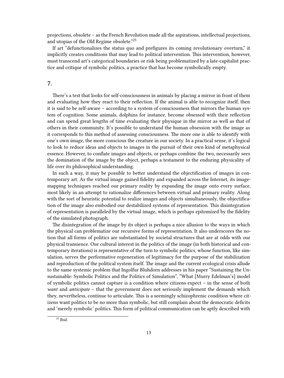projections, obsolete – as the French Revolution made all the aspirations, intellectual projections, and utopias of the Old Regime obsolete."<sup>25</sup>

If art "defunctionalizes the status quo and prefigures its coming revolutionary overturn," it implicitly creates conditions that may lead to political intervention. This intervention, however, must transcend art's categorical boundaries or risk being problematized by a late-capitalist practice and critique of symbolic politics, a practice that has become symbolically empty.

#### <span id="page-12-0"></span>**7.**

There's a test that looks for self-consciousness in animals by placing a mirror in front of them and evaluating how they react to their reflection. If the animal is able to recognize itself, then it is said to be self-aware – according to a system of consciousness that mirrors the human system of cognition. Some animals, dolphins for instance, become obsessed with their reflection and can spend great lengths of time evaluating their physique in the mirror as well as that of others in their community. It's possible to understand the human obsession with the image as it corresponds to this method of assessing consciousness. The more one is able to identify with one's own image, the more conscious the creature in our society. In a practical sense, it's logical to look to reduce ideas and objects to images in the pursuit of their own kind of metaphysical essence. However, to conflate images and objects, or perhaps combine the two, necessarily sees the domination of the image by the object, perhaps a testament to the enduring physicality of life over its philosophical understanding.

In such a way, it may be possible to better understand the objectification of images in contemporary art. As the virtual image gained fidelity and expanded across the Internet, its imagemapping techniques reached our primary reality by expanding the image onto every surface, most likely in an attempt to rationalize differences between virtual and primary reality. Along with the sort of heuristic potential to realize images and objects simultaneously, the objectification of the image also embodied our destabilized systems of representation. This disintegration of representation is paralleled by the virtual image, which is perhaps epitomized by the fidelity of the simulated photograph.

The disintegration of the image by its object is perhaps a nice allusion to the ways in which the physical can problematize our recursive forms of representation. It also underscores the notion that all forms of politics are substantiated by societal structures that are at odds with our physical transience. Our cultural interest in the politics of the image (in both historical and contemporary iterations) is representative of the turn to symbolic politics, whose function, like simulation, serves the performative regeneration of legitimacy for the purpose of the stabilization and reproduction of the political system itself. The image and the current ecological crisis allude to the same systemic problem that Ingolfur Bluhdorn addresses in his paper "Sustaining the Unsustainable: Symbolic Politics and the Politics of Simulation", "What [Murry Edelman's] model of symbolic politics cannot capture is a condition where citizens expect – in the sense of both *want* and *anticipate* – that the government does not seriously implement the demands which they, nevertheless, continue to articulate. This is a seemingly schizophrenic condition where citizens want politics to be no more than symbolic, but still complain about the democratic deficits and 'merely symbolic' politics. This form of political communication can be aptly described with

 $\overline{^{25}}$  Ibid.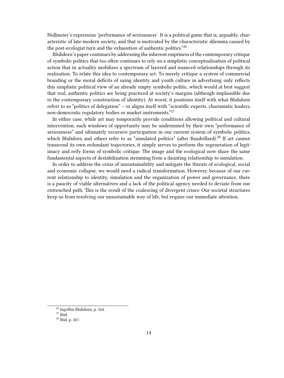Nullmeier's expression 'performance of seriousness'. It is a political game that is, arguably, characteristic of late-modern society, and that is motivated by the characteristic dilemma caused by the post-ecologist turn and the exhaustion of authentic politics."<sup>26</sup>

Bluhdorn's paper continues by addressing the inherent emptiness of the contemporary critique of symbolic politics that too often continues to rely on a simplistic conceptualization of political action that in actuality mobilizes a spectrum of layered and nuanced relationships through its realization. To relate this idea to contemporary art: To merely critique a system of commercial branding or the moral deficits of using identity and youth culture in advertising only reflects this simplistic political view of an already empty symbolic politic, which would at best suggest that real, authentic politics are being practiced at society's margins (although implausible due to the contemporary construction of identity). At worst, it positions itself with what Bluhdorn refers to as "politics of delegation" – or aligns itself with "scientific experts, charismatic leaders, non-democratic regulatory bodies or market instruments."<sup>27</sup>

In either case, while art may temporarily provide conditions allowing political and cultural intervention, such windows of opportunity may be undermined by their own "performance of seriousness" and ultimately recursive participation in our current system of symbolic politics, which Bluhdorn and others refer to as "simulated politics" (after Baudrillard).<sup>28</sup> If art cannot transcend its own redundant trajectories, it simply serves to perform the regeneration of legitimacy and reify forms of symbolic critique. The image and the ecological now share the same fundamental aspects of destabilization stemming from a daunting relationship to simulation.

In order to address the crisis of unsustainability and mitigate the threats of ecological, social and economic collapse, we would need a radical transformation. However, because of our current relationship to identity, simulation and the organization of power and governance, there is a paucity of viable alternatives and a lack of the political agency needed to deviate from our entrenched path. This is the result of the coalescing of divergent crises: Our societal structures keep us from resolving our unsustainable way of life, but require our immediate attention.

<sup>26</sup> Ingolfur Bluhdorn, p. 264.

 $27$  Ibid.

<sup>28</sup> Ibid, p. 267.